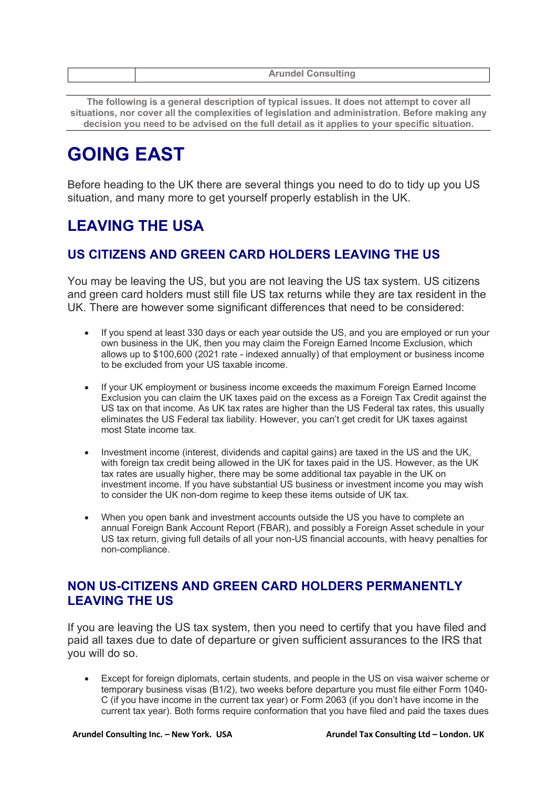|  |  | <b>Arundel Consulting</b> |
|--|--|---------------------------|
|--|--|---------------------------|

**The following is a general description of typical issues. It does not attempt to cover all situations, nor cover all the complexities of legislation and administration. Before making any decision you need to be advised on the full detail as it applies to your specific situation.**

# **GOING EAST**

Before heading to the UK there are several things you need to do to tidy up you US situation, and many more to get yourself properly establish in the UK.

# **LEAVING THE USA**

# **US CITIZENS AND GREEN CARD HOLDERS LEAVING THE US**

You may be leaving the US, but you are not leaving the US tax system. US citizens and green card holders must still file US tax returns while they are tax resident in the UK. There are however some significant differences that need to be considered:

- If you spend at least 330 days or each year outside the US, and you are employed or run your own business in the UK, then you may claim the Foreign Earned Income Exclusion, which allows up to \$100,600 (2021 rate - indexed annually) of that employment or business income to be excluded from your US taxable income.
- If your UK employment or business income exceeds the maximum Foreign Earned Income Exclusion you can claim the UK taxes paid on the excess as a Foreign Tax Credit against the US tax on that income. As UK tax rates are higher than the US Federal tax rates, this usually eliminates the US Federal tax liability. However, you can't get credit for UK taxes against most State income tax.
- Investment income (interest, dividends and capital gains) are taxed in the US and the UK, with foreign tax credit being allowed in the UK for taxes paid in the US. However, as the UK tax rates are usually higher, there may be some additional tax payable in the UK on investment income. If you have substantial US business or investment income you may wish to consider the UK non-dom regime to keep these items outside of UK tax.
- When you open bank and investment accounts outside the US you have to complete an annual Foreign Bank Account Report (FBAR), and possibly a Foreign Asset schedule in your US tax return, giving full details of all your non-US financial accounts, with heavy penalties for non-compliance.

# **NON US-CITIZENS AND GREEN CARD HOLDERS PERMANENTLY LEAVING THE US**

If you are leaving the US tax system, then you need to certify that you have filed and paid all taxes due to date of departure or given sufficient assurances to the IRS that you will do so.

• Except for foreign diplomats, certain students, and people in the US on visa waiver scheme or temporary business visas (B1/2), two weeks before departure you must file either Form 1040- C (if you have income in the current tax year) or Form 2063 (if you don't have income in the current tax year). Both forms require conformation that you have filed and paid the taxes dues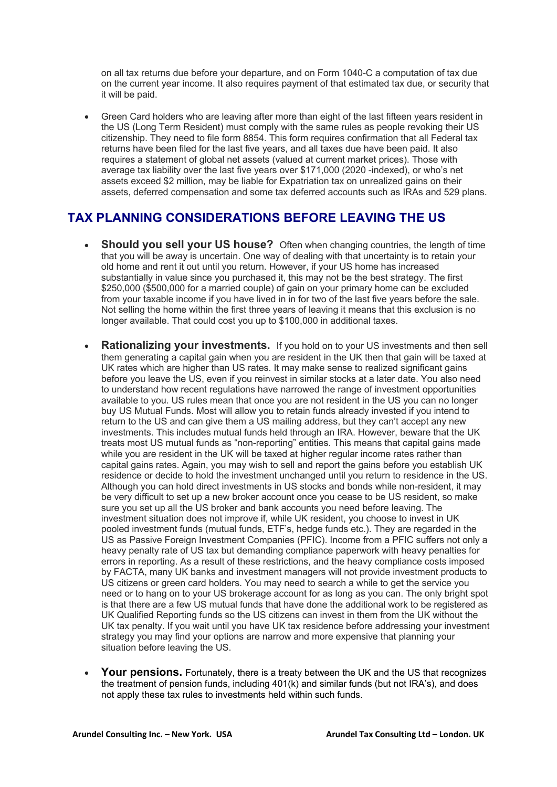on all tax returns due before your departure, and on Form 1040-C a computation of tax due on the current year income. It also requires payment of that estimated tax due, or security that it will be paid.

• Green Card holders who are leaving after more than eight of the last fifteen years resident in the US (Long Term Resident) must comply with the same rules as people revoking their US citizenship. They need to file form 8854. This form requires confirmation that all Federal tax returns have been filed for the last five years, and all taxes due have been paid. It also requires a statement of global net assets (valued at current market prices). Those with average tax liability over the last five years over \$171,000 (2020 -indexed), or who's net assets exceed \$2 million, may be liable for Expatriation tax on unrealized gains on their assets, deferred compensation and some tax deferred accounts such as IRAs and 529 plans.

### **TAX PLANNING CONSIDERATIONS BEFORE LEAVING THE US**

- **Should you sell your US house?** Often when changing countries, the length of time that you will be away is uncertain. One way of dealing with that uncertainty is to retain your old home and rent it out until you return. However, if your US home has increased substantially in value since you purchased it, this may not be the best strategy. The first \$250,000 (\$500,000 for a married couple) of gain on your primary home can be excluded from your taxable income if you have lived in in for two of the last five years before the sale. Not selling the home within the first three years of leaving it means that this exclusion is no longer available. That could cost you up to \$100,000 in additional taxes.
- **Rationalizing your investments.** If you hold on to your US investments and then sell them generating a capital gain when you are resident in the UK then that gain will be taxed at UK rates which are higher than US rates. It may make sense to realized significant gains before you leave the US, even if you reinvest in similar stocks at a later date. You also need to understand how recent regulations have narrowed the range of investment opportunities available to you. US rules mean that once you are not resident in the US you can no longer buy US Mutual Funds. Most will allow you to retain funds already invested if you intend to return to the US and can give them a US mailing address, but they can't accept any new investments. This includes mutual funds held through an IRA. However, beware that the UK treats most US mutual funds as "non-reporting" entities. This means that capital gains made while you are resident in the UK will be taxed at higher regular income rates rather than capital gains rates. Again, you may wish to sell and report the gains before you establish UK residence or decide to hold the investment unchanged until you return to residence in the US. Although you can hold direct investments in US stocks and bonds while non-resident, it may be very difficult to set up a new broker account once you cease to be US resident, so make sure you set up all the US broker and bank accounts you need before leaving. The investment situation does not improve if, while UK resident, you choose to invest in UK pooled investment funds (mutual funds, ETF's, hedge funds etc.). They are regarded in the US as Passive Foreign Investment Companies (PFIC). Income from a PFIC suffers not only a heavy penalty rate of US tax but demanding compliance paperwork with heavy penalties for errors in reporting. As a result of these restrictions, and the heavy compliance costs imposed by FACTA, many UK banks and investment managers will not provide investment products to US citizens or green card holders. You may need to search a while to get the service you need or to hang on to your US brokerage account for as long as you can. The only bright spot is that there are a few US mutual funds that have done the additional work to be registered as UK Qualified Reporting funds so the US citizens can invest in them from the UK without the UK tax penalty. If you wait until you have UK tax residence before addressing your investment strategy you may find your options are narrow and more expensive that planning your situation before leaving the US.
- **Your pensions.** Fortunately, there is a treaty between the UK and the US that recognizes the treatment of pension funds, including 401(k) and similar funds (but not IRA's), and does not apply these tax rules to investments held within such funds.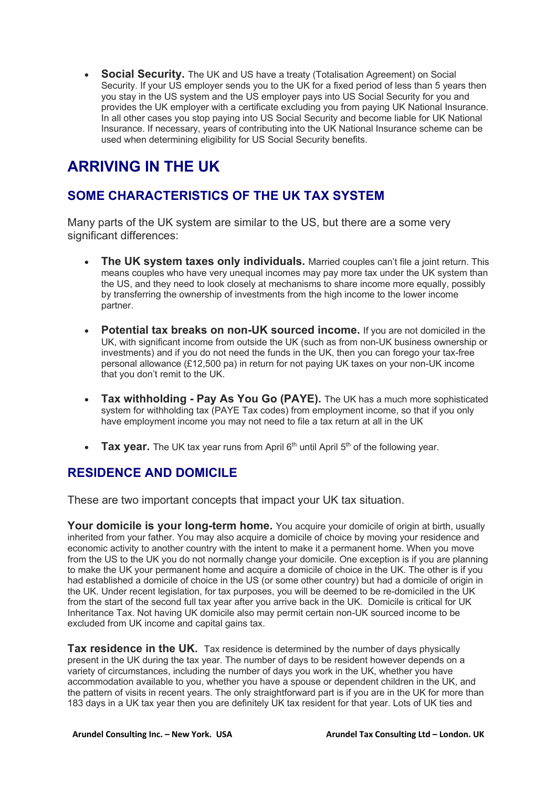• **Social Security.** The UK and US have a treaty (Totalisation Agreement) on Social Security. If your US employer sends you to the UK for a fixed period of less than 5 years then you stay in the US system and the US employer pays into US Social Security for you and provides the UK employer with a certificate excluding you from paying UK National Insurance. In all other cases you stop paying into US Social Security and become liable for UK National Insurance. If necessary, years of contributing into the UK National Insurance scheme can be used when determining eligibility for US Social Security benefits.

# **ARRIVING IN THE UK**

# **SOME CHARACTERISTICS OF THE UK TAX SYSTEM**

Many parts of the UK system are similar to the US, but there are a some very significant differences:

- **The UK system taxes only individuals.** Married couples can't file a joint return. This means couples who have very unequal incomes may pay more tax under the UK system than the US, and they need to look closely at mechanisms to share income more equally, possibly by transferring the ownership of investments from the high income to the lower income partner.
- **Potential tax breaks on non-UK sourced income.** If you are not domiciled in the UK, with significant income from outside the UK (such as from non-UK business ownership or investments) and if you do not need the funds in the UK, then you can forego your tax-free personal allowance (£12,500 pa) in return for not paying UK taxes on your non-UK income that you don't remit to the UK.
- **Tax withholding - Pay As You Go (PAYE).** The UK has a much more sophisticated system for withholding tax (PAYE Tax codes) from employment income, so that if you only have employment income you may not need to file a tax return at all in the UK
- **Tax year.** The UK tax year runs from April 6<sup>th</sup> until April 5<sup>th</sup> of the following year.

# **RESIDENCE AND DOMICILE**

These are two important concepts that impact your UK tax situation.

Your domicile is your long-term home. You acquire your domicile of origin at birth, usually inherited from your father. You may also acquire a domicile of choice by moving your residence and economic activity to another country with the intent to make it a permanent home. When you move from the US to the UK you do not normally change your domicile. One exception is if you are planning to make the UK your permanent home and acquire a domicile of choice in the UK. The other is if you had established a domicile of choice in the US (or some other country) but had a domicile of origin in the UK. Under recent legislation, for tax purposes, you will be deemed to be re-domiciled in the UK from the start of the second full tax year after you arrive back in the UK. Domicile is critical for UK Inheritance Tax. Not having UK domicile also may permit certain non-UK sourced income to be excluded from UK income and capital gains tax.

**Tax residence in the UK.** Tax residence is determined by the number of days physically present in the UK during the tax year. The number of days to be resident however depends on a variety of circumstances, including the number of days you work in the UK, whether you have accommodation available to you, whether you have a spouse or dependent children in the UK, and the pattern of visits in recent years. The only straightforward part is if you are in the UK for more than 183 days in a UK tax year then you are definitely UK tax resident for that year. Lots of UK ties and